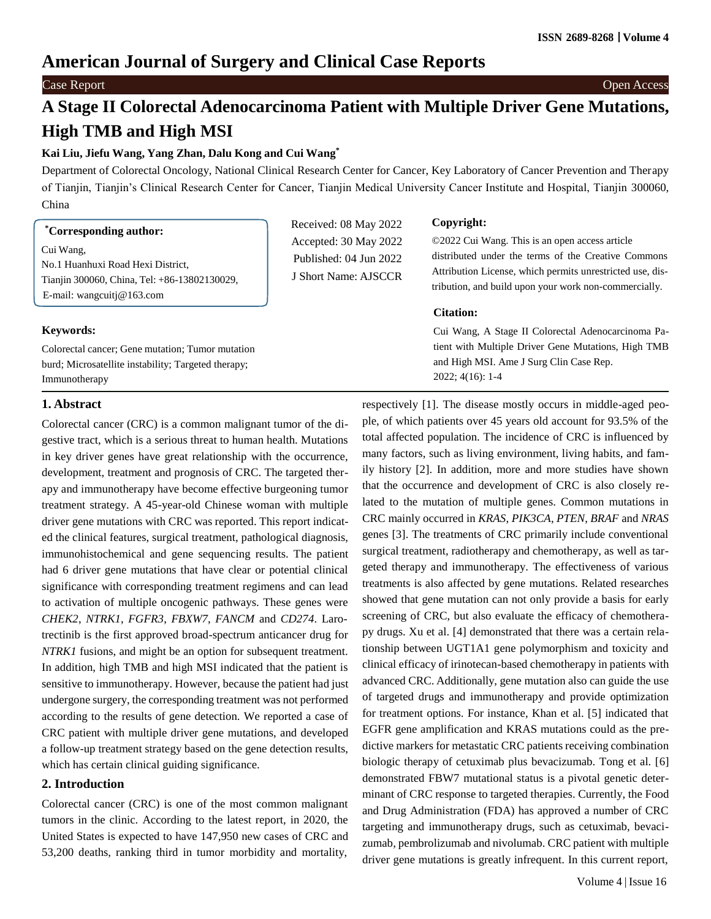## **American Journal of Surgery and Clinical Case Reports**

#### Case Report Open Access

# **A Stage II Colorectal Adenocarcinoma Patient with Multiple Driver Gene Mutations, High TMB and High MSI**

## **Kai Liu, Jiefu Wang, Yang Zhan, Dalu Kong and Cui Wang\***

Department of Colorectal Oncology, National Clinical Research Center for Cancer, Key Laboratory of Cancer Prevention and Therapy of Tianjin, Tianjin's Clinical Research Center for Cancer, Tianjin Medical University Cancer Institute and Hospital, Tianjin 300060, China

> Received: 08 May 2022 Accepted: 30 May 2022 Published: 04 Jun 2022 J Short Name: AJSCCR

## **\*Corresponding author:**

Cui Wang, No.1 Huanhuxi Road Hexi District, Tianjin 300060, China, Tel: +86-13802130029, E-mail: [wangcuitj@163.com](mailto:wangcuitj@163.com)

#### **Keywords:**

Colorectal cancer; Gene mutation; Tumor mutation burd; Microsatellite instability; Targeted therapy; Immunotherapy

## **Copyright:**

©2022 Cui Wang. This is an open access article distributed under the terms of the Creative Commons Attribution License, which permits unrestricted use, distribution, and build upon your work non-commercially.

#### **Citation:**

Cui Wang, A Stage II Colorectal Adenocarcinoma Patient with Multiple Driver Gene Mutations, High TMB and High MSI. Ame J Surg Clin Case Rep. 2022; 4(16): 1-4

#### **1. Abstract**

Colorectal cancer (CRC) is a common malignant tumor of the digestive tract, which is a serious threat to human health. Mutations in key driver genes have great relationship with the occurrence, development, treatment and prognosis of CRC. The targeted therapy and immunotherapy have become effective burgeoning tumor treatment strategy. A 45-year-old Chinese woman with multiple driver gene mutations with CRC was reported. This report indicated the clinical features, surgical treatment, pathological diagnosis, immunohistochemical and gene sequencing results. The patient had 6 driver gene mutations that have clear or potential clinical significance with corresponding treatment regimens and can lead to activation of multiple oncogenic pathways. These genes were *CHEK2*, *NTRK1*, *FGFR3*, *FBXW7*, *FANCM* and *CD274*. Larotrectinib is the first approved broad-spectrum anticancer drug for *NTRK1* fusions, and might be an option for subsequent treatment. In addition, high TMB and high MSI indicated that the patient is sensitive to immunotherapy. However, because the patient had just undergone surgery, the corresponding treatment was not performed according to the results of gene detection. We reported a case of CRC patient with multiple driver gene mutations, and developed a follow-up treatment strategy based on the gene detection results, which has certain clinical guiding significance.

## **2. Introduction**

Colorectal cancer (CRC) is one of the most common malignant tumors in the clinic. According to the latest report, in 2020, the United States is expected to have 147,950 new cases of CRC and 53,200 deaths, ranking third in tumor morbidity and mortality,

respectively [1]. The disease mostly occurs in middle-aged people, of which patients over 45 years old account for 93.5% of the total affected population. The incidence of CRC is influenced by many factors, such as living environment, living habits, and family history [2]. In addition, more and more studies have shown that the occurrence and development of CRC is also closely related to the mutation of multiple genes. Common mutations in CRC mainly occurred in *KRAS*, *PIK3CA*, *PTEN*, *BRAF* and *NRAS* genes [3]. The treatments of CRC primarily include conventional surgical treatment, radiotherapy and chemotherapy, as well as targeted therapy and immunotherapy. The effectiveness of various treatments is also affected by gene mutations. Related researches showed that gene mutation can not only provide a basis for early screening of CRC, but also evaluate the efficacy of chemotherapy drugs. Xu et al. [4] demonstrated that there was a certain relationship between UGT1A1 gene polymorphism and toxicity and clinical efficacy of irinotecan-based chemotherapy in patients with advanced CRC. Additionally, gene mutation also can guide the use of targeted drugs and immunotherapy and provide optimization for treatment options. For instance, Khan et al. [5] indicated that EGFR gene amplification and KRAS mutations could as the predictive markers for metastatic CRC patients receiving combination biologic therapy of cetuximab plus bevacizumab. Tong et al. [6] demonstrated FBW7 mutational status is a pivotal genetic determinant of CRC response to targeted therapies. Currently, the Food and Drug Administration (FDA) has approved a number of CRC targeting and immunotherapy drugs, such as cetuximab, bevacizumab, pembrolizumab and nivolumab. CRC patient with multiple driver gene mutations is greatly infrequent. In this current report,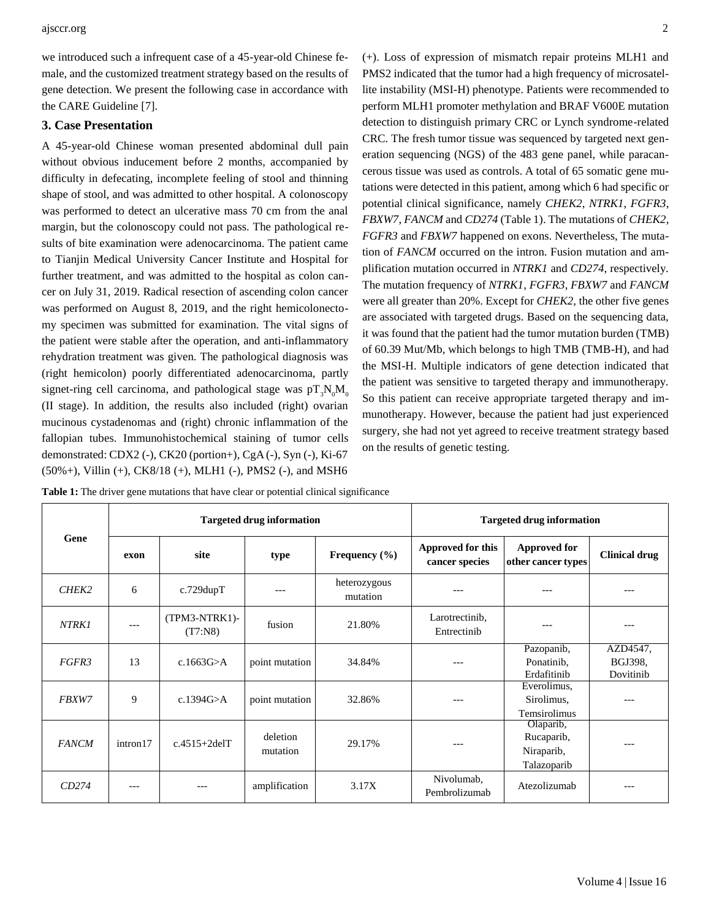we introduced such a infrequent case of a 45-year-old Chinese female, and the customized treatment strategy based on the results of gene detection. We present the following case in accordance with the CARE Guideline [7].

## **3. Case Presentation**

A 45-year-old Chinese woman presented abdominal dull pain without obvious inducement before 2 months, accompanied by difficulty in defecating, incomplete feeling of stool and thinning shape of stool, and was admitted to other hospital. A colonoscopy was performed to detect an ulcerative mass 70 cm from the anal margin, but the colonoscopy could not pass. The pathological results of bite examination were adenocarcinoma. The patient came to Tianjin Medical University Cancer Institute and Hospital for further treatment, and was admitted to the hospital as colon cancer on July 31, 2019. Radical resection of ascending colon cancer was performed on August 8, 2019, and the right hemicolonectomy specimen was submitted for examination. The vital signs of the patient were stable after the operation, and anti-inflammatory rehydration treatment was given. The pathological diagnosis was (right hemicolon) poorly differentiated adenocarcinoma, partly signet-ring cell carcinoma, and pathological stage was  $pT_3N_0M_0$ (II stage). In addition, the results also included (right) ovarian mucinous cystadenomas and (right) chronic inflammation of the fallopian tubes. Immunohistochemical staining of tumor cells demonstrated: CDX2 (-), CK20 (portion+), CgA (-), Syn (-), Ki-67 (50%+), Villin (+), CK8/18 (+), MLH1 (-), PMS2 (-), and MSH6

(+). Loss of expression of mismatch repair proteins MLH1 and PMS2 indicated that the tumor had a high frequency of microsatellite instability (MSI-H) phenotype. Patients were recommended to perform MLH1 promoter methylation and BRAF V600E mutation detection to distinguish primary CRC or Lynch syndrome-related CRC. The fresh tumor tissue was sequenced by targeted next generation sequencing (NGS) of the 483 gene panel, while paracancerous tissue was used as controls. A total of 65 somatic gene mutations were detected in this patient, among which 6 had specific or potential clinical significance, namely *CHEK2*, *NTRK1*, *FGFR3*, *FBXW7*, *FANCM* and *CD274* (Table 1). The mutations of *CHEK2*, *FGFR3* and *FBXW7* happened on exons. Nevertheless, The mutation of *FANCM* occurred on the intron. Fusion mutation and amplification mutation occurred in *NTRK1* and *CD274*, respectively. The mutation frequency of *NTRK1*, *FGFR3*, *FBXW7* and *FANCM* were all greater than 20%. Except for *CHEK2*, the other five genes are associated with targeted drugs. Based on the sequencing data, it was found that the patient had the tumor mutation burden (TMB) of 60.39 Mut/Mb, which belongs to high TMB (TMB-H), and had the MSI-H. Multiple indicators of gene detection indicated that the patient was sensitive to targeted therapy and immunotherapy. So this patient can receive appropriate targeted therapy and immunotherapy. However, because the patient had just experienced surgery, she had not yet agreed to receive treatment strategy based on the results of genetic testing.

| Gene              | <b>Targeted drug information</b> |                             |                      |                          | <b>Targeted drug information</b>    |                                                      |                                  |
|-------------------|----------------------------------|-----------------------------|----------------------|--------------------------|-------------------------------------|------------------------------------------------------|----------------------------------|
|                   | exon                             | site                        | type                 | Frequency $(\% )$        | Approved for this<br>cancer species | <b>Approved for</b><br>other cancer types            | <b>Clinical drug</b>             |
| CHEK <sub>2</sub> | 6                                | $c.729$ dup $T$             | ---                  | heterozygous<br>mutation | ---                                 | ---                                                  |                                  |
| <b>NTRK1</b>      | $---$                            | $(TPM3-NTRK1)$ -<br>(T7:N8) | fusion               | 21.80%                   | Larotrectinib.<br>Entrectinib       | ---                                                  | ---                              |
| FGFR3             | 13                               | c.1663G $\geq$ A            | point mutation       | 34.84%                   |                                     | Pazopanib,<br>Ponatinib,<br>Erdafitinib              | AZD4547,<br>BGJ398,<br>Dovitinib |
| <b>FBXW7</b>      | 9                                | c.1394G>A                   | point mutation       | 32.86%                   |                                     | Everolimus,<br>Sirolimus,<br>Temsirolimus            |                                  |
| <b>FANCM</b>      | intron17                         | $c.4515+2delT$              | deletion<br>mutation | 29.17%                   |                                     | Olaparib,<br>Rucaparib,<br>Niraparib,<br>Talazoparib | ---                              |
| CD274             | ---                              |                             | amplification        | 3.17X                    | Nivolumab,<br>Pembrolizumab         | Atezolizumab                                         |                                  |

**Table 1:** The driver gene mutations that have clear or potential clinical significance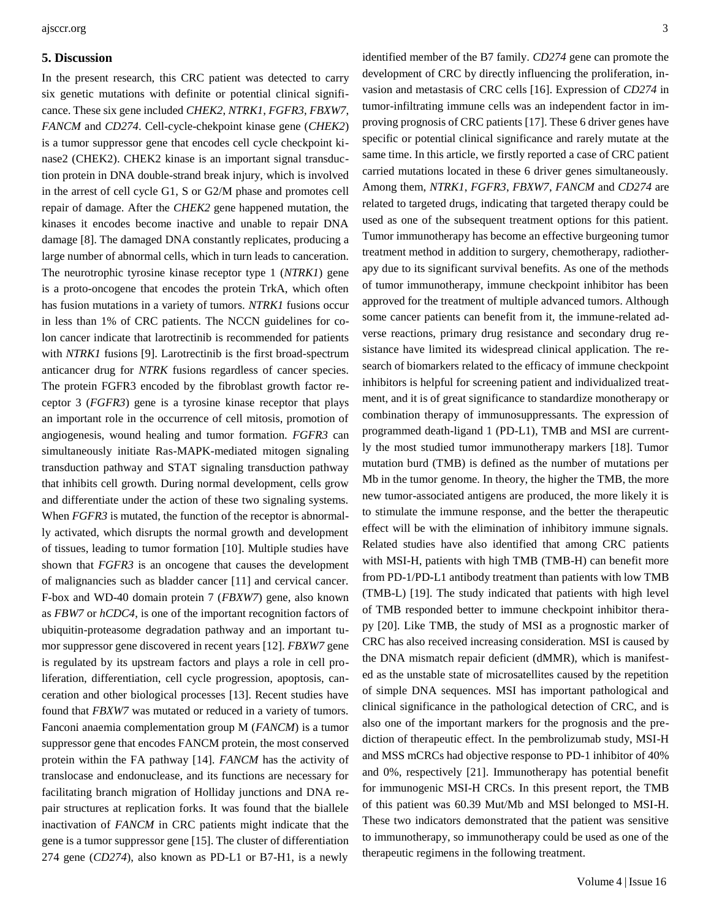#### **5. Discussion**

In the present research, this CRC patient was detected to carry six genetic mutations with definite or potential clinical significance. These six gene included *CHEK2*, *NTRK1*, *FGFR3*, *FBXW7*, *FANCM* and *CD274*. Cell-cycle-chekpoint kinase gene (*CHEK2*) is a tumor suppressor gene that encodes cell cycle checkpoint kinase2 (CHEK2). CHEK2 kinase is an important signal transduction protein in DNA double-strand break injury, which is involved in the arrest of cell cycle G1, S or G2/M phase and promotes cell repair of damage. After the *CHEK2* gene happened mutation, the kinases it encodes become inactive and unable to repair DNA damage [8]. The damaged DNA constantly replicates, producing a large number of abnormal cells, which in turn leads to canceration. The neurotrophic tyrosine kinase receptor type 1 (*NTRK1*) gene is a proto-oncogene that encodes the protein TrkA, which often has fusion mutations in a variety of tumors. *NTRK1* fusions occur in less than 1% of CRC patients. The NCCN guidelines for colon cancer indicate that [larotrectinib i](http://www.baidu.com/link?url=ln6RdQtm0HQ6ck8W4a9_Ua1LFW4HsiJpBDxS3zGxrAUzcTRc7S2DnEwiPlm1wYcp40stRBdlCF7kd2D_WIgi8_)s recommended for patients with *NTRK1* fusions [9]. [Larotrectinib i](http://www.baidu.com/link?url=ln6RdQtm0HQ6ck8W4a9_Ua1LFW4HsiJpBDxS3zGxrAUzcTRc7S2DnEwiPlm1wYcp40stRBdlCF7kd2D_WIgi8_)s the first broad-spectrum anticancer drug for *NTRK* fusions regardless of cancer species. The protein FGFR3 encoded by the fibroblast growth factor receptor 3 (*FGFR3*) gene is a tyrosine kinase receptor that plays an important role in the occurrence of cell mitosis, promotion of angiogenesis, wound healing and tumor formation. *FGFR3* can simultaneously initiate Ras-MAPK-mediated mitogen signaling transduction pathway and STAT signaling transduction pathway that inhibits cell growth. During normal development, cells grow and differentiate under the action of these two signaling systems. When *FGFR3* is mutated, the function of the receptor is abnormally activated, which disrupts the normal growth and development of tissues, leading to tumor formation [10]. Multiple studies have shown that *FGFR3* is an oncogene that causes the development of malignancies such as bladder cancer [11] and cervical cancer. F-box and WD-40 domain protein 7 (*FBXW7*) gene, also known as *FBW7* or *hCDC4*, is one of the important recognition factors of ubiquitin-proteasome degradation pathway and an important tumor suppressor gene discovered in recent years [12]. *FBXW7* gene is regulated by its upstream factors and plays a role in cell proliferation, differentiation, cell cycle progression, apoptosis, canceration and other biological processes [13]. Recent studies have found that *FBXW7* was mutated or reduced in a variety of tumors. Fanconi anaemia complementation group M (*FANCM*) is a tumor suppressor gene that encodes FANCM protein, the most conserved protein within the FA pathway [14]. *FANCM* has the activity of translocase and endonuclease, and its functions are necessary for facilitating branch migration of Holliday junctions and DNA repair structures at replication forks. It was found that the biallele inactivation of *FANCM* in CRC patients might indicate that the gene is a tumor suppressor gene [15]. The cluster of differentiation 274 gene (*CD274*), also known as PD-L1 or B7-H1, is a newly

identified member of the B7 family. *CD274* gene can promote the development of CRC by directly influencing the proliferation, invasion and metastasis of CRC cells [16]. Expression of *CD274* in tumor-infiltrating immune cells was an independent factor in improving prognosis of CRC patients [17]. These 6 driver genes have specific or potential clinical significance and rarely mutate at the same time. In this article, we firstly reported a case of CRC patient carried mutations located in these 6 driver genes simultaneously. Among them, *NTRK1*, *FGFR3*, *FBXW7*, *FANCM* and *CD274* are related to targeted drugs, indicating that targeted therapy could be used as one of the subsequent treatment options for this patient. Tumor immunotherapy has become an effective burgeoning tumor treatment method in addition to surgery, chemotherapy, radiotherapy due to its significant survival benefits. As one of the methods of tumor immunotherapy, immune checkpoint inhibitor has been approved for the treatment of multiple advanced tumors. Although some cancer patients can benefit from it, the immune-related adverse reactions, primary drug resistance and secondary drug resistance have limited its widespread clinical application. The research of biomarkers related to the efficacy of immune checkpoint inhibitors is helpful for screening patient and individualized treatment, and it is of great significance to standardize monotherapy or combination therapy of immunosuppressants. The expression of programmed death-ligand 1 (PD-L1), TMB and MSI are currently the most studied tumor immunotherapy markers [18]. Tumor mutation burd (TMB) is defined as the number of mutations per Mb in the tumor genome. In theory, the higher the TMB, the more new tumor-associated antigens are produced, the more likely it is to stimulate the immune response, and the better the therapeutic effect will be with the elimination of inhibitory immune signals. Related studies have also identified that among CRC patients with MSI-H, patients with high TMB (TMB-H) can benefit more from PD-1/PD-L1 antibody treatment than patients with low TMB (TMB-L) [19]. The study indicated that patients with high level of TMB responded better to immune checkpoint inhibitor therapy [20]. Like TMB, the study of MSI as a prognostic marker of CRC has also received increasing consideration. MSI is caused by the DNA mismatch repair deficient (dMMR), which is manifested as the unstable state of microsatellites caused by the repetition of simple DNA sequences. MSI has important pathological and clinical significance in the pathological detection of CRC, and is also one of the important markers for the prognosis and the prediction of therapeutic effect. In the pembrolizumab study, MSI-H and MSS mCRCs had objective response to PD-1 inhibitor of 40% and 0%, respectively [21]. Immunotherapy has potential benefit for immunogenic MSI-H CRCs. In this present report, the TMB of this patient was 60.39 Mut/Mb and MSI belonged to MSI-H. These two indicators demonstrated that the patient was sensitive to immunotherapy, so immunotherapy could be used as one of the therapeutic regimens in the following treatment.